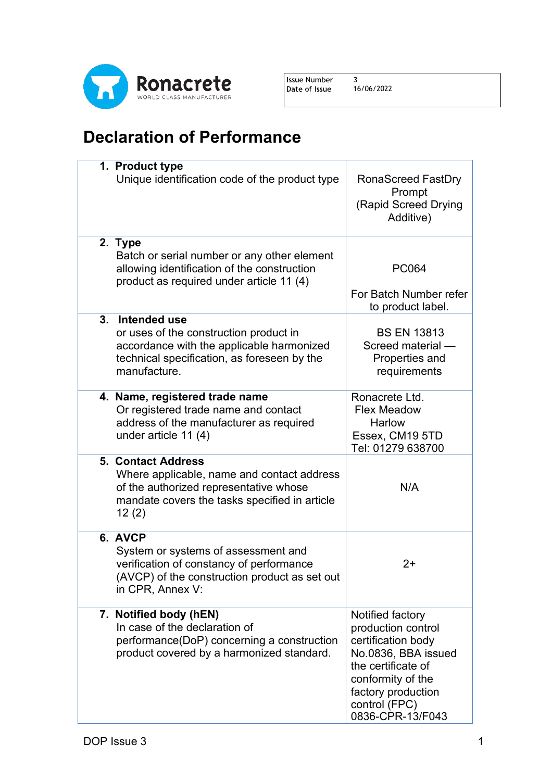

Issue Number  $\overline{\mathbf{3}}$ Date of Issue

16/06/2022

## **Declaration of Performance**

| 1. Product type<br>Unique identification code of the product type                                                                                                           | RonaScreed FastDry<br>Prompt<br>(Rapid Screed Drying<br>Additive)                                                                                                                         |
|-----------------------------------------------------------------------------------------------------------------------------------------------------------------------------|-------------------------------------------------------------------------------------------------------------------------------------------------------------------------------------------|
| 2. Type<br>Batch or serial number or any other element<br>allowing identification of the construction<br>product as required under article 11 (4)                           | <b>PC064</b><br>For Batch Number refer<br>to product label.                                                                                                                               |
| 3. Intended use<br>or uses of the construction product in<br>accordance with the applicable harmonized<br>technical specification, as foreseen by the<br>manufacture.       | <b>BS EN 13813</b><br>Screed material -<br>Properties and<br>requirements                                                                                                                 |
| 4. Name, registered trade name<br>Or registered trade name and contact<br>address of the manufacturer as required<br>under article 11 (4)                                   | Ronacrete Ltd.<br><b>Flex Meadow</b><br>Harlow<br>Essex, CM19 5TD<br>Tel: 01279 638700                                                                                                    |
| <b>5. Contact Address</b><br>Where applicable, name and contact address<br>of the authorized representative whose<br>mandate covers the tasks specified in article<br>12(2) | N/A                                                                                                                                                                                       |
| 6. AVCP<br>System or systems of assessment and<br>verification of constancy of performance<br>(AVCP) of the construction product as set out<br>in CPR, Annex V:             | $2+$                                                                                                                                                                                      |
| 7. Notified body (hEN)<br>In case of the declaration of<br>performance(DoP) concerning a construction<br>product covered by a harmonized standard.                          | Notified factory<br>production control<br>certification body<br>No.0836, BBA issued<br>the certificate of<br>conformity of the<br>factory production<br>control (FPC)<br>0836-CPR-13/F043 |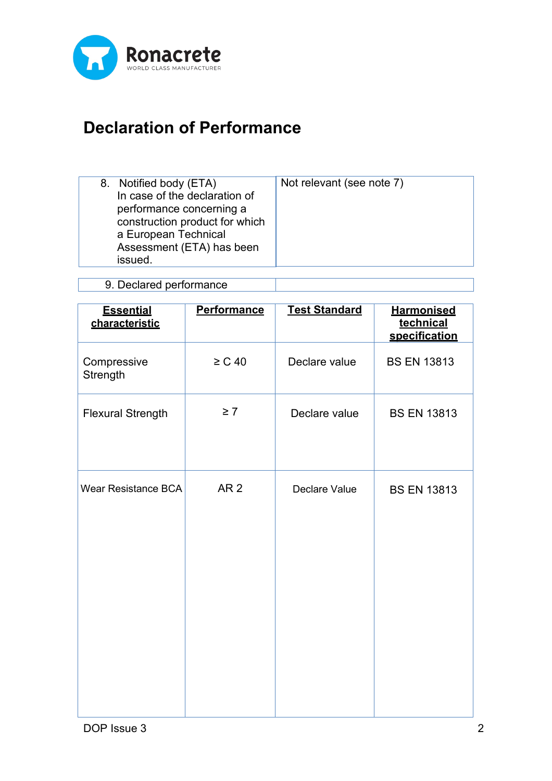

## **Declaration of Performance**

| 8. Notified body (ETA)<br>In case of the declaration of<br>performance concerning a<br>construction product for which<br>a European Technical | Not relevant (see note 7) |
|-----------------------------------------------------------------------------------------------------------------------------------------------|---------------------------|
| Assessment (ETA) has been<br>issued.                                                                                                          |                           |

9. Declared performance

| <b>Essential</b><br>characteristic | <b>Performance</b> | <b>Test Standard</b> | <b>Harmonised</b><br>technical<br>specification |
|------------------------------------|--------------------|----------------------|-------------------------------------------------|
| Compressive<br>Strength            | $\geq$ C 40        | Declare value        | <b>BS EN 13813</b>                              |
| <b>Flexural Strength</b>           | $\geq 7$           | Declare value        | <b>BS EN 13813</b>                              |
| <b>Wear Resistance BCA</b>         | AR <sub>2</sub>    | Declare Value        | <b>BS EN 13813</b>                              |